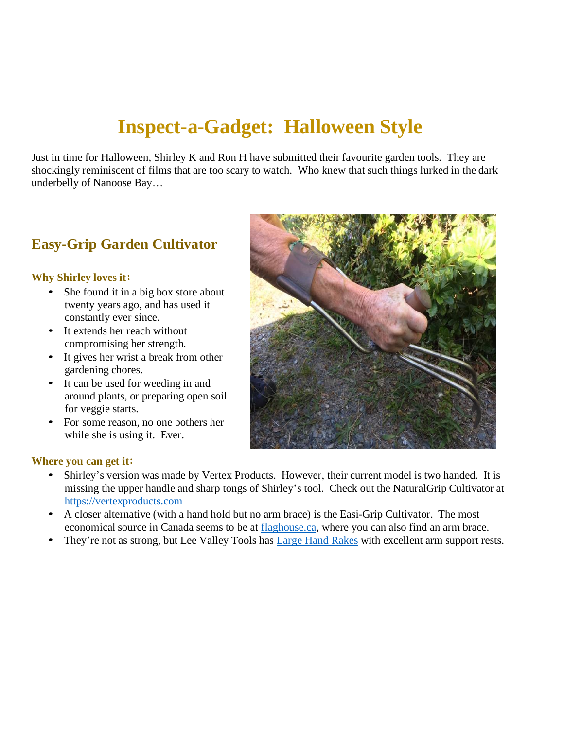# **Inspect-a-Gadget: Halloween Style**

Just in time for Halloween, Shirley K and Ron H have submitted their favourite garden tools. They are shockingly reminiscent of films that are too scary to watch. Who knew that such things lurked in the dark underbelly of Nanoose Bay…

# **Easy-Grip Garden Cultivator**

### **Why Shirley loves it:**

- She found it in a big box store about twenty years ago, and has used it constantly ever since.
- It extends her reach without compromising her strength.
- It gives her wrist a break from other gardening chores.
- It can be used for weeding in and around plants, or preparing open soil for veggie starts.
- For some reason, no one bothers her while she is using it. Ever.



#### **Where you can get it:**

- Shirley's version was made by Vertex Products. However, their current model is two handed. It is missing the upper handle and sharp tongs of Shirley's tool. Check out the NaturalGrip Cultivator at https://vertexproducts.com
- A closer alternative (with a hand hold but no arm brace) is the Easi-Grip Cultivator. The most economical source in Canada seems to be at flaghouse.ca, where you can also find an arm brace.
- They're not as strong, but Lee Valley Tools has Large Hand Rakes with excellent arm support rests.